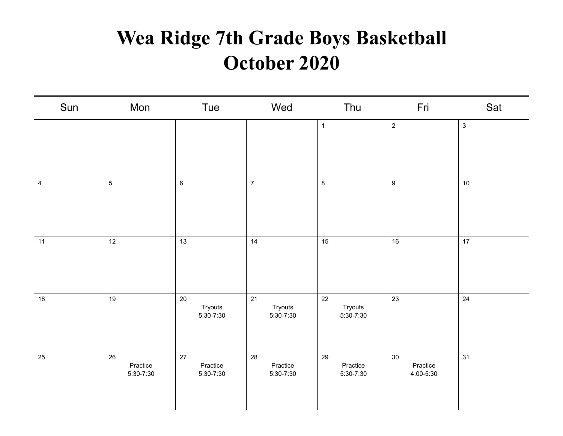## **Wea Ridge 7th Grade Boys Basketball October 2020**

| Sun                     | Mon                         | Tue                         | Wed                             | Thu                         | Fri                         | Sat          |
|-------------------------|-----------------------------|-----------------------------|---------------------------------|-----------------------------|-----------------------------|--------------|
|                         |                             |                             |                                 | $\mathbf{1}$                | $\sqrt{2}$                  | $\mathbf{3}$ |
| $\overline{\mathbf{4}}$ | $\sqrt{5}$                  | $6\phantom{.}$              | $\overline{7}$                  | $\bf 8$                     | $\boldsymbol{9}$            | 10           |
| 11                      | 12                          | 13                          | 14                              | 15                          | 16                          | 17           |
| 18                      | 19                          | 20<br>Tryouts<br>5:30-7:30  | 21<br>Tryouts<br>5:30-7:30      | 22<br>Tryouts<br>5:30-7:30  | 23                          | $24\,$       |
| 25                      | 26<br>Practice<br>5:30-7:30 | 27<br>Practice<br>5:30-7:30 | 28<br>Practice<br>$5:30 - 7:30$ | 29<br>Practice<br>5:30-7:30 | 30<br>Practice<br>4:00-5:30 | 31           |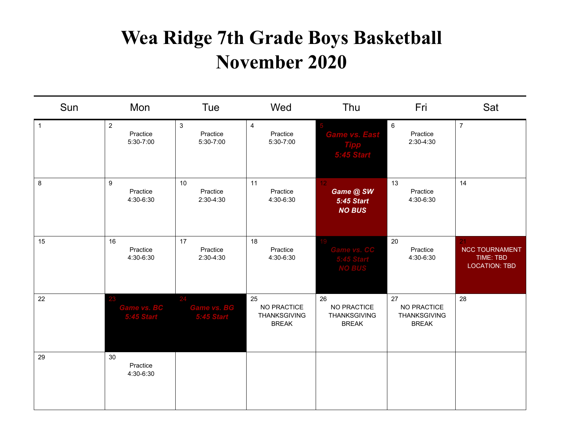## **Wea Ridge 7th Grade Boys Basketball November 2020**

| Sun            | Mon                                     | Tue                                     | Wed                                                      | Thu                                                                | Fri                                                      | Sat                                                              |
|----------------|-----------------------------------------|-----------------------------------------|----------------------------------------------------------|--------------------------------------------------------------------|----------------------------------------------------------|------------------------------------------------------------------|
| $\overline{1}$ | $\overline{2}$<br>Practice<br>5:30-7:00 | $\sqrt{3}$<br>Practice<br>5:30-7:00     | $\overline{4}$<br>Practice<br>5:30-7:00                  | <b>Game vs. East</b>                                               | $\,6\,$<br>Practice<br>2:30-4:30                         | $\overline{7}$                                                   |
| $\bf 8$        | 9<br>Practice<br>4:30-6:30              | 10<br>Practice<br>2:30-4:30             | 11<br>Practice<br>4:30-6:30                              | 12 <sub>1</sub><br>Game @ SW<br><b>5:45 Start</b><br><b>NO BUS</b> | 13<br>Practice<br>4:30-6:30                              | 14                                                               |
| 15             | 16<br>Practice<br>4:30-6:30             | 17<br>Practice<br>2:30-4:30             | 18<br>Practice<br>4:30-6:30                              |                                                                    | 20<br>Practice<br>4:30-6:30                              | 21<br><b>NCC TOURNAMENT</b><br>TIME: TBD<br><b>LOCATION: TBD</b> |
| 22             | <b>Game vs. BC</b><br>5:45 Star         | <b>Game vs. BG</b><br><b>5:45 Start</b> | 25<br>NO PRACTICE<br><b>THANKSGIVING</b><br><b>BREAK</b> | 26<br>NO PRACTICE<br><b>THANKSGIVING</b><br><b>BREAK</b>           | 27<br>NO PRACTICE<br><b>THANKSGIVING</b><br><b>BREAK</b> | 28                                                               |
| 29             | 30<br>Practice<br>4:30-6:30             |                                         |                                                          |                                                                    |                                                          |                                                                  |